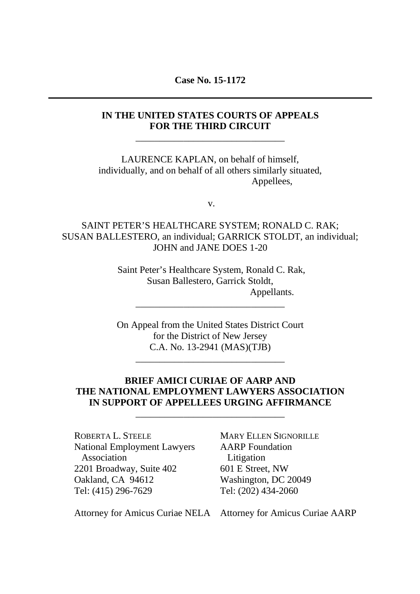**Case No. 15-1172**

## **IN THE UNITED STATES COURTS OF APPEALS FOR THE THIRD CIRCUIT**

\_\_\_\_\_\_\_\_\_\_\_\_\_\_\_\_\_\_\_\_\_\_\_\_\_\_\_\_\_\_\_

LAURENCE KAPLAN, on behalf of himself, individually, and on behalf of all others similarly situated, Appellees,

v.

SAINT PETER'S HEALTHCARE SYSTEM; RONALD C. RAK; SUSAN BALLESTERO, an individual; GARRICK STOLDT, an individual; JOHN and JANE DOES 1-20

> Saint Peter's Healthcare System, Ronald C. Rak, Susan Ballestero, Garrick Stoldt, Appellants. \_\_\_\_\_\_\_\_\_\_\_\_\_\_\_\_\_\_\_\_\_\_\_\_\_\_\_\_\_\_\_

> On Appeal from the United States District Court for the District of New Jersey C.A. No. 13-2941 (MAS)(TJB)

> > \_\_\_\_\_\_\_\_\_\_\_\_\_\_\_\_\_\_\_\_\_\_\_\_\_\_\_\_\_\_\_

## **BRIEF AMICI CURIAE OF AARP AND THE NATIONAL EMPLOYMENT LAWYERS ASSOCIATION IN SUPPORT OF APPELLEES URGING AFFIRMANCE**

\_\_\_\_\_\_\_\_\_\_\_\_\_\_\_\_\_\_\_\_\_\_\_\_\_\_\_\_\_\_\_

ROBERTA L. STEELE National Employment Lawyers Association 2201 Broadway, Suite 402 Oakland, CA 94612 Tel: (415) 296-7629

MARY ELLEN SIGNORILLE AARP Foundation Litigation 601 E Street, NW Washington, DC 20049 Tel: (202) 434-2060

Attorney for Amicus Curiae NELA Attorney for Amicus Curiae AARP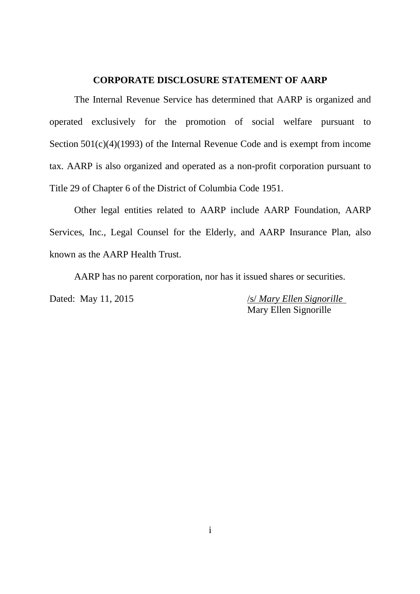#### **CORPORATE DISCLOSURE STATEMENT OF AARP**

The Internal Revenue Service has determined that AARP is organized and operated exclusively for the promotion of social welfare pursuant to Section 501(c)(4)(1993) of the Internal Revenue Code and is exempt from income tax. AARP is also organized and operated as a non-profit corporation pursuant to Title 29 of Chapter 6 of the District of Columbia Code 1951.

Other legal entities related to AARP include AARP Foundation, AARP Services, Inc., Legal Counsel for the Elderly, and AARP Insurance Plan, also known as the AARP Health Trust.

AARP has no parent corporation, nor has it issued shares or securities.

Dated: May 11, 2015 /s/ *Mary Ellen Signorille* Mary Ellen Signorille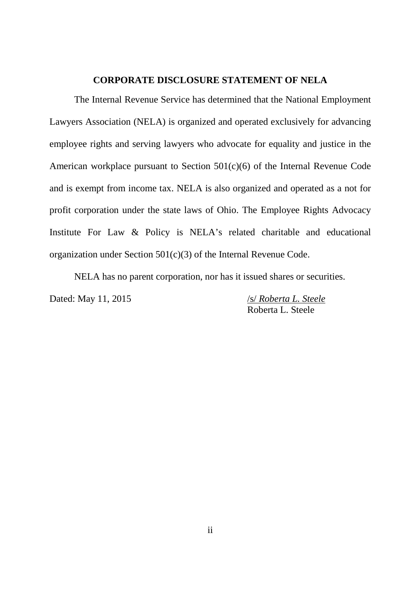#### **CORPORATE DISCLOSURE STATEMENT OF NELA**

The Internal Revenue Service has determined that the National Employment Lawyers Association (NELA) is organized and operated exclusively for advancing employee rights and serving lawyers who advocate for equality and justice in the American workplace pursuant to Section 501(c)(6) of the Internal Revenue Code and is exempt from income tax. NELA is also organized and operated as a not for profit corporation under the state laws of Ohio. The Employee Rights Advocacy Institute For Law & Policy is NELA's related charitable and educational organization under Section 501(c)(3) of the Internal Revenue Code.

NELA has no parent corporation, nor has it issued shares or securities.

Dated: May 11, 2015 /s/ *Roberta L. Steele* Roberta L. Steele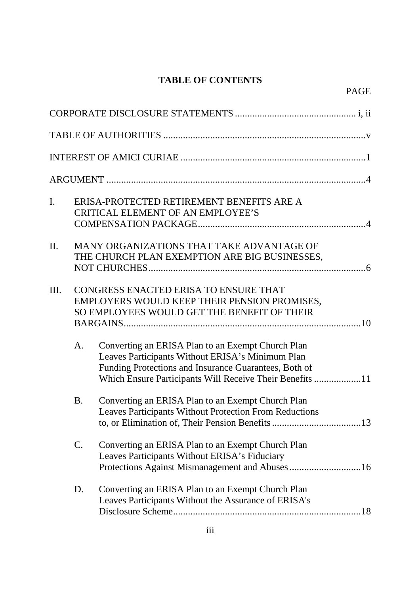# **TABLE OF CONTENTS**

PAGE

| I.   |                | ERISA-PROTECTED RETIREMENT BENEFITS ARE A<br><b>CRITICAL ELEMENT OF AN EMPLOYEE'S</b>                                                                                                                                      |
|------|----------------|----------------------------------------------------------------------------------------------------------------------------------------------------------------------------------------------------------------------------|
| II.  |                | MANY ORGANIZATIONS THAT TAKE ADVANTAGE OF<br>THE CHURCH PLAN EXEMPTION ARE BIG BUSINESSES,                                                                                                                                 |
| III. |                | CONGRESS ENACTED ERISA TO ENSURE THAT<br>EMPLOYERS WOULD KEEP THEIR PENSION PROMISES,<br>SO EMPLOYEES WOULD GET THE BENEFIT OF THEIR                                                                                       |
|      | A.             | Converting an ERISA Plan to an Exempt Church Plan<br>Leaves Participants Without ERISA's Minimum Plan<br>Funding Protections and Insurance Guarantees, Both of<br>Which Ensure Participants Will Receive Their Benefits 11 |
|      | <b>B.</b>      | Converting an ERISA Plan to an Exempt Church Plan<br><b>Leaves Participants Without Protection From Reductions</b>                                                                                                         |
|      | $\mathbf{C}$ . | Converting an ERISA Plan to an Exempt Church Plan<br>Leaves Participants Without ERISA's Fiduciary                                                                                                                         |
|      | D.             | Converting an ERISA Plan to an Exempt Church Plan<br>Leaves Participants Without the Assurance of ERISA's                                                                                                                  |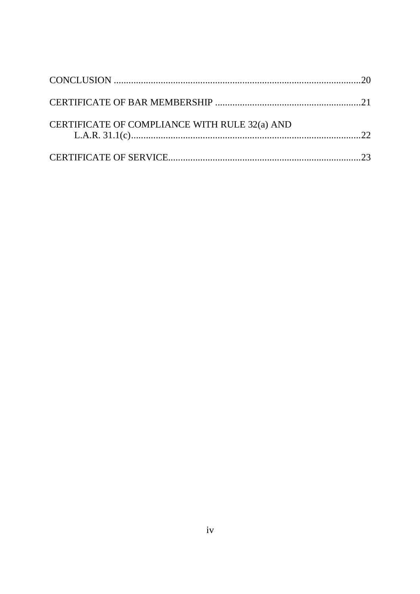| CERTIFICATE OF COMPLIANCE WITH RULE 32(a) AND |  |
|-----------------------------------------------|--|
|                                               |  |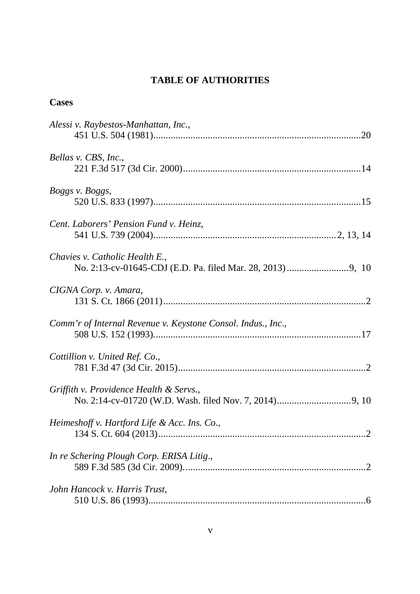# **TABLE OF AUTHORITIES**

## **Cases**

| Alessi v. Raybestos-Manhattan, Inc.,                         |
|--------------------------------------------------------------|
| Bellas v. CBS, Inc.,                                         |
| Boggs v. Boggs,                                              |
| Cent. Laborers' Pension Fund v. Heinz,                       |
| Chavies v. Catholic Health E.,                               |
| CIGNA Corp. v. Amara,                                        |
| Comm'r of Internal Revenue v. Keystone Consol. Indus., Inc., |
| Cottillion v. United Ref. Co.,                               |
| Griffith v. Providence Health & Servs.,                      |
| Heimeshoff v. Hartford Life & Acc. Ins. Co.,                 |
| In re Schering Plough Corp. ERISA Litig.,                    |
| John Hancock v. Harris Trust,                                |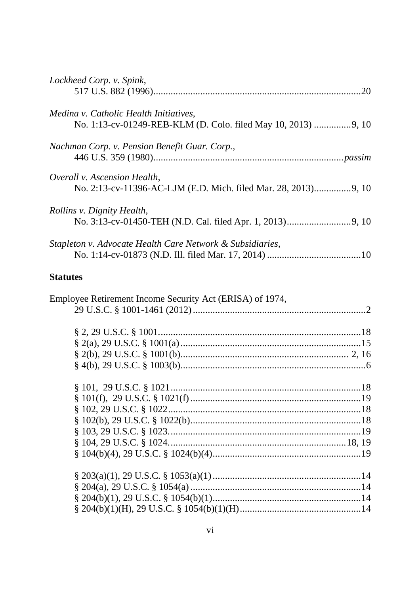| Lockheed Corp. v. Spink,                                  |  |
|-----------------------------------------------------------|--|
|                                                           |  |
| Medina v. Catholic Health Initiatives,                    |  |
|                                                           |  |
| Nachman Corp. v. Pension Benefit Guar. Corp.,             |  |
|                                                           |  |
| Overall v. Ascension Health,                              |  |
|                                                           |  |
| Rollins v. Dignity Health,                                |  |
|                                                           |  |
| Stapleton v. Advocate Health Care Network & Subsidiaries, |  |
|                                                           |  |

## **Statutes**

| Employee Retirement Income Security Act (ERISA) of 1974, |  |
|----------------------------------------------------------|--|
|                                                          |  |
|                                                          |  |
|                                                          |  |
|                                                          |  |
|                                                          |  |
|                                                          |  |
|                                                          |  |
|                                                          |  |
|                                                          |  |
|                                                          |  |
|                                                          |  |
|                                                          |  |
|                                                          |  |
|                                                          |  |
|                                                          |  |
|                                                          |  |
|                                                          |  |
|                                                          |  |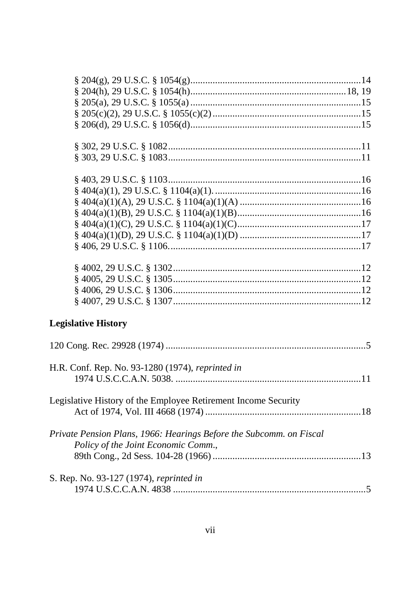| <b>Legislative History</b>                                          |  |
|---------------------------------------------------------------------|--|
|                                                                     |  |
|                                                                     |  |
|                                                                     |  |
| H.R. Conf. Rep. No. 93-1280 (1974), reprinted in                    |  |
|                                                                     |  |
|                                                                     |  |
| Legislative History of the Employee Retirement Income Security      |  |
|                                                                     |  |
|                                                                     |  |
| Private Pension Plans, 1966: Hearings Before the Subcomm. on Fiscal |  |
| Policy of the Joint Economic Comm.,                                 |  |
|                                                                     |  |
|                                                                     |  |
| S. Rep. No. 93-127 (1974), reprinted in                             |  |
|                                                                     |  |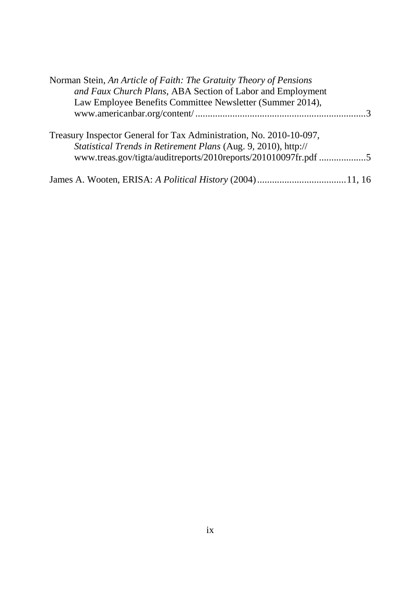| Norman Stein, An Article of Faith: The Gratuity Theory of Pensions                                                                    |  |
|---------------------------------------------------------------------------------------------------------------------------------------|--|
| and Faux Church Plans, ABA Section of Labor and Employment                                                                            |  |
| Law Employee Benefits Committee Newsletter (Summer 2014),                                                                             |  |
|                                                                                                                                       |  |
| Treasury Inspector General for Tax Administration, No. 2010-10-097,<br>Statistical Trends in Retirement Plans (Aug. 9, 2010), http:// |  |
| www.treas.gov/tigta/auditreports/2010reports/201010097fr.pdf 5                                                                        |  |
|                                                                                                                                       |  |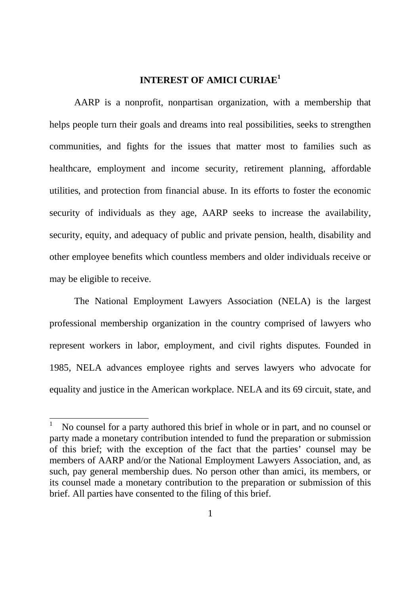## **INTEREST OF AMICI CURIAE<sup>1</sup>**

AARP is a nonprofit, nonpartisan organization, with a membership that helps people turn their goals and dreams into real possibilities, seeks to strengthen communities, and fights for the issues that matter most to families such as healthcare, employment and income security, retirement planning, affordable utilities, and protection from financial abuse. In its efforts to foster the economic security of individuals as they age, AARP seeks to increase the availability, security, equity, and adequacy of public and private pension, health, disability and other employee benefits which countless members and older individuals receive or may be eligible to receive.

The National Employment Lawyers Association (NELA) is the largest professional membership organization in the country comprised of lawyers who represent workers in labor, employment, and civil rights disputes. Founded in 1985, NELA advances employee rights and serves lawyers who advocate for equality and justice in the American workplace. NELA and its 69 circuit, state, and

<sup>1</sup> No counsel for a party authored this brief in whole or in part, and no counsel or party made a monetary contribution intended to fund the preparation or submission of this brief; with the exception of the fact that the parties' counsel may be members of AARP and/or the National Employment Lawyers Association, and, as such, pay general membership dues. No person other than amici, its members, or its counsel made a monetary contribution to the preparation or submission of this brief. All parties have consented to the filing of this brief.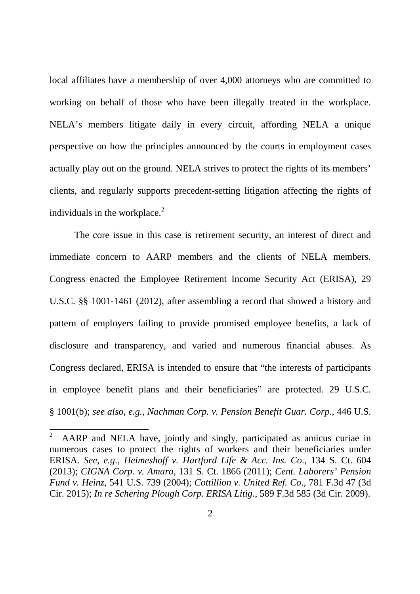local affiliates have a membership of over 4,000 attorneys who are committed to working on behalf of those who have been illegally treated in the workplace. NELA's members litigate daily in every circuit, affording NELA a unique perspective on how the principles announced by the courts in employment cases actually play out on the ground. NELA strives to protect the rights of its members' clients, and regularly supports precedent-setting litigation affecting the rights of individuals in the workplace. $^{2}$ 

The core issue in this case is retirement security, an interest of direct and immediate concern to AARP members and the clients of NELA members. Congress enacted the Employee Retirement Income Security Act (ERISA), 29 U.S.C. §§ 1001-1461 (2012), after assembling a record that showed a history and pattern of employers failing to provide promised employee benefits, a lack of disclosure and transparency, and varied and numerous financial abuses. As Congress declared, ERISA is intended to ensure that "the interests of participants in employee benefit plans and their beneficiaries" are protected. 29 U.S.C. § 1001(b); *see also*, *e.g.*, *Nachman Corp. v. Pension Benefit Guar. Corp.*, 446 U.S.

<sup>&</sup>lt;sup>2</sup> AARP and NELA have, jointly and singly, participated as amicus curiae in numerous cases to protect the rights of workers and their beneficiaries under ERISA. *See, e.g.*, *Heimeshoff v. Hartford Life & Acc. Ins. Co*., 134 S. Ct. 604 (2013); *CIGNA Corp. v. Amara*, 131 S. Ct. 1866 (2011); *Cent. Laborers' Pension Fund v. Heinz*, 541 U.S. 739 (2004); *Cottillion v. United Ref. Co*., 781 F.3d 47 (3d Cir. 2015); *In re Schering Plough Corp. ERISA Litig*., 589 F.3d 585 (3d Cir. 2009).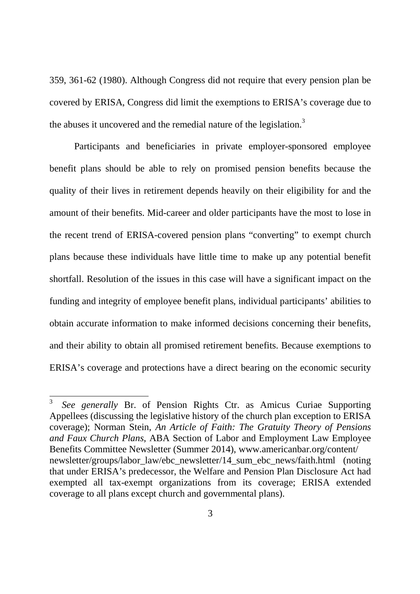359, 361-62 (1980). Although Congress did not require that every pension plan be covered by ERISA, Congress did limit the exemptions to ERISA's coverage due to the abuses it uncovered and the remedial nature of the legislation.<sup>3</sup>

Participants and beneficiaries in private employer-sponsored employee benefit plans should be able to rely on promised pension benefits because the quality of their lives in retirement depends heavily on their eligibility for and the amount of their benefits. Mid-career and older participants have the most to lose in the recent trend of ERISA-covered pension plans "converting" to exempt church plans because these individuals have little time to make up any potential benefit shortfall. Resolution of the issues in this case will have a significant impact on the funding and integrity of employee benefit plans, individual participants' abilities to obtain accurate information to make informed decisions concerning their benefits, and their ability to obtain all promised retirement benefits. Because exemptions to ERISA's coverage and protections have a direct bearing on the economic security

<sup>3</sup> *See generally* Br. of Pension Rights Ctr. as Amicus Curiae Supporting Appellees (discussing the legislative history of the church plan exception to ERISA coverage); Norman Stein, *An Article of Faith: The Gratuity Theory of Pensions and Faux Church Plans*, ABA Section of Labor and Employment Law Employee Benefits Committee Newsletter (Summer 2014), www.americanbar.org/content/ newsletter/groups/labor\_law/ebc\_newsletter/14\_sum\_ebc\_news/faith.html (noting that under ERISA's predecessor, the Welfare and Pension Plan Disclosure Act had exempted all tax-exempt organizations from its coverage; ERISA extended coverage to all plans except church and governmental plans).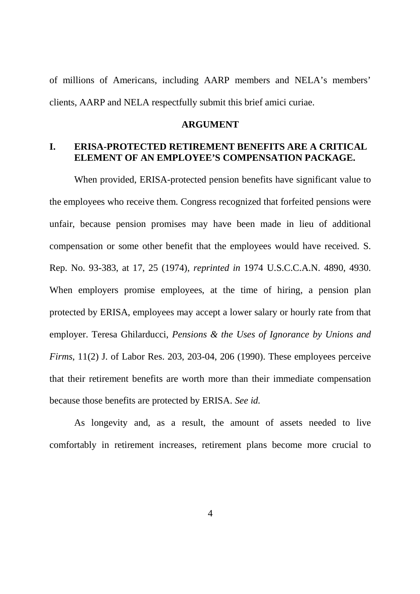of millions of Americans, including AARP members and NELA's members' clients, AARP and NELA respectfully submit this brief amici curiae.

#### **ARGUMENT**

## **I. ERISA-PROTECTED RETIREMENT BENEFITS ARE A CRITICAL ELEMENT OF AN EMPLOYEE'S COMPENSATION PACKAGE.**

When provided, ERISA-protected pension benefits have significant value to the employees who receive them. Congress recognized that forfeited pensions were unfair, because pension promises may have been made in lieu of additional compensation or some other benefit that the employees would have received. S. Rep. No. 93-383, at 17, 25 (1974), *reprinted in* 1974 U.S.C.C.A.N. 4890, 4930. When employers promise employees, at the time of hiring, a pension plan protected by ERISA, employees may accept a lower salary or hourly rate from that employer. Teresa Ghilarducci, *Pensions & the Uses of Ignorance by Unions and Firms*, 11(2) J. of Labor Res. 203, 203-04, 206 (1990). These employees perceive that their retirement benefits are worth more than their immediate compensation because those benefits are protected by ERISA. *See id.*

As longevity and, as a result, the amount of assets needed to live comfortably in retirement increases, retirement plans become more crucial to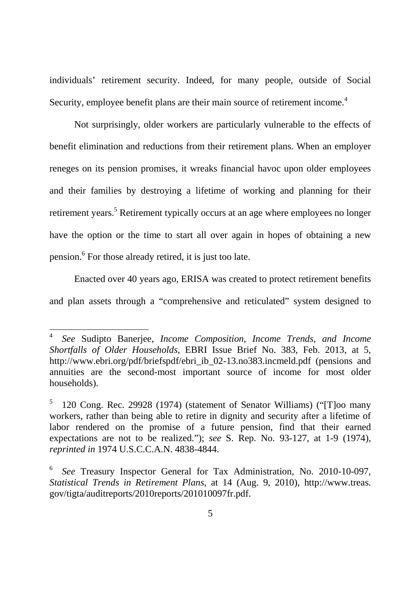individuals' retirement security. Indeed, for many people, outside of Social Security, employee benefit plans are their main source of retirement income.<sup>4</sup>

Not surprisingly, older workers are particularly vulnerable to the effects of benefit elimination and reductions from their retirement plans. When an employer reneges on its pension promises, it wreaks financial havoc upon older employees and their families by destroying a lifetime of working and planning for their retirement years.<sup>5</sup> Retirement typically occurs at an age where employees no longer have the option or the time to start all over again in hopes of obtaining a new pension.<sup>6</sup> For those already retired, it is just too late.

Enacted over 40 years ago, ERISA was created to protect retirement benefits and plan assets through a "comprehensive and reticulated" system designed to

<sup>4</sup> *See* Sudipto Banerjee, *Income Composition, Income Trends, and Income Shortfalls of Older Households*, EBRI Issue Brief No. 383, Feb. 2013, at 5, http://www.ebri.org/pdf/briefspdf/ebri\_ib\_02-13.no383.incmeld.pdf (pensions and annuities are the second-most important source of income for most older households).

<sup>5</sup> 120 Cong. Rec. 29928 (1974) (statement of Senator Williams) ("[T]oo many workers, rather than being able to retire in dignity and security after a lifetime of labor rendered on the promise of a future pension, find that their earned expectations are not to be realized."); *see* S. Rep. No. 93-127, at 1-9 (1974), *reprinted in* 1974 U.S.C.C.A.N. 4838-4844.

<sup>6</sup> *See* Treasury Inspector General for Tax Administration, No. 2010-10-097, *Statistical Trends in Retirement Plans*, at 14 (Aug. 9, 2010), http://www.treas. gov/tigta/auditreports/2010reports/201010097fr.pdf.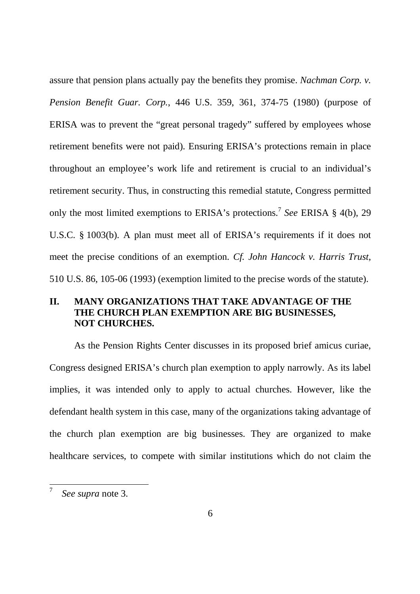assure that pension plans actually pay the benefits they promise. *Nachman Corp. v. Pension Benefit Guar. Corp.*, 446 U.S. 359, 361, 374-75 (1980) (purpose of ERISA was to prevent the "great personal tragedy" suffered by employees whose retirement benefits were not paid). Ensuring ERISA's protections remain in place throughout an employee's work life and retirement is crucial to an individual's retirement security. Thus, in constructing this remedial statute, Congress permitted only the most limited exemptions to ERISA's protections.<sup>7</sup> *See* ERISA § 4(b), 29 U.S.C. § 1003(b). A plan must meet all of ERISA's requirements if it does not meet the precise conditions of an exemption. *Cf. John Hancock v. Harris Trust*, 510 U.S. 86, 105-06 (1993) (exemption limited to the precise words of the statute).

## **II. MANY ORGANIZATIONS THAT TAKE ADVANTAGE OF THE THE CHURCH PLAN EXEMPTION ARE BIG BUSINESSES, NOT CHURCHES.**

As the Pension Rights Center discusses in its proposed brief amicus curiae, Congress designed ERISA's church plan exemption to apply narrowly. As its label implies, it was intended only to apply to actual churches. However, like the defendant health system in this case, many of the organizations taking advantage of the church plan exemption are big businesses. They are organized to make healthcare services, to compete with similar institutions which do not claim the

<sup>7</sup> *See supra* note 3.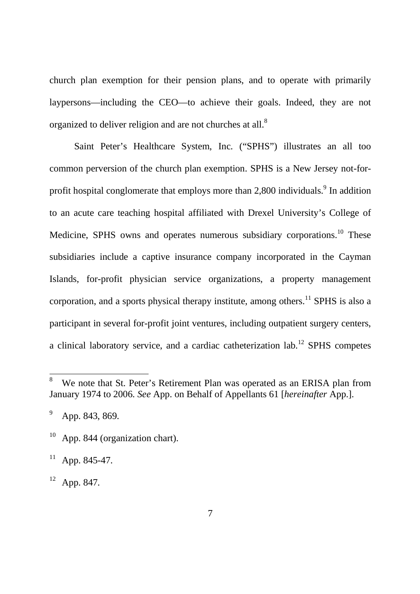church plan exemption for their pension plans, and to operate with primarily laypersons—including the CEO—to achieve their goals. Indeed, they are not organized to deliver religion and are not churches at all.<sup>8</sup>

Saint Peter's Healthcare System, Inc. ("SPHS") illustrates an all too common perversion of the church plan exemption. SPHS is a New Jersey not-forprofit hospital conglomerate that employs more than 2,800 individuals.  $9$  In addition to an acute care teaching hospital affiliated with Drexel University's College of Medicine, SPHS owns and operates numerous subsidiary corporations.<sup>10</sup> These subsidiaries include a captive insurance company incorporated in the Cayman Islands, for-profit physician service organizations, a property management corporation, and a sports physical therapy institute, among others.<sup>11</sup> SPHS is also a participant in several for-profit joint ventures, including outpatient surgery centers, a clinical laboratory service, and a cardiac catheterization lab.<sup>12</sup> SPHS competes

 $12$  App. 847.

We note that St. Peter's Retirement Plan was operated as an ERISA plan from January 1974 to 2006. *See* App. on Behalf of Appellants 61 [*hereinafter* App.].

 $^{9}$  App. 843, 869.

 $10$  App. 844 (organization chart).

 $11$  App. 845-47.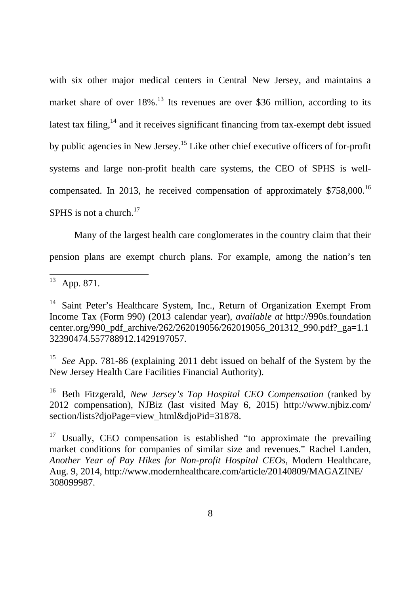with six other major medical centers in Central New Jersey, and maintains a market share of over  $18\%$ .<sup>13</sup> Its revenues are over \$36 million, according to its latest tax filing, $14$  and it receives significant financing from tax-exempt debt issued by public agencies in New Jersey.<sup>15</sup> Like other chief executive officers of for-profit systems and large non-profit health care systems, the CEO of SPHS is wellcompensated. In 2013, he received compensation of approximately \$758,000.<sup>16</sup> SPHS is not a church. $17$ 

Many of the largest health care conglomerates in the country claim that their pension plans are exempt church plans. For example, among the nation's ten

<sup>15</sup> *See* App. 781-86 (explaining 2011 debt issued on behalf of the System by the New Jersey Health Care Facilities Financial Authority).

<sup>16</sup> Beth Fitzgerald, *New Jersey's Top Hospital CEO Compensation* (ranked by 2012 compensation), NJBiz (last visited May 6, 2015) http://www.njbiz.com/ section/lists?djoPage=view\_html&djoPid=31878.

 $\frac{13}{13}$  App. 871.

<sup>&</sup>lt;sup>14</sup> Saint Peter's Healthcare System, Inc., Return of Organization Exempt From Income Tax (Form 990) (2013 calendar year), *available at* http://990s.foundation center.org/990\_pdf\_archive/262/262019056/262019056\_201312\_990.pdf?\_ga=1.1 32390474.557788912.1429197057.

 $17$  Usually, CEO compensation is established "to approximate the prevailing market conditions for companies of similar size and revenues." Rachel Landen, *Another Year of Pay Hikes for Non-profit Hospital CEOs*, Modern Healthcare, Aug. 9, 2014, http://www.modernhealthcare.com/article/20140809/MAGAZINE/ 308099987.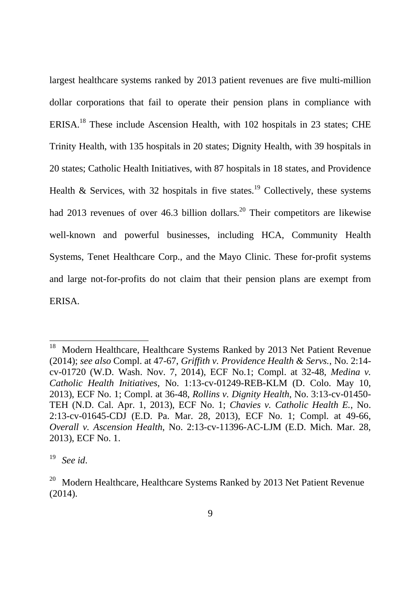largest healthcare systems ranked by 2013 patient revenues are five multi-million dollar corporations that fail to operate their pension plans in compliance with ERISA.<sup>18</sup> These include Ascension Health, with 102 hospitals in 23 states; CHE Trinity Health, with 135 hospitals in 20 states; Dignity Health, with 39 hospitals in 20 states; Catholic Health Initiatives, with 87 hospitals in 18 states, and Providence Health & Services, with 32 hospitals in five states.<sup>19</sup> Collectively, these systems had 2013 revenues of over 46.3 billion dollars.<sup>20</sup> Their competitors are likewise well-known and powerful businesses, including HCA, Community Health Systems, Tenet Healthcare Corp., and the Mayo Clinic. These for-profit systems and large not-for-profits do not claim that their pension plans are exempt from ERISA.

<sup>&</sup>lt;sup>18</sup> Modern Healthcare, Healthcare Systems Ranked by 2013 Net Patient Revenue (2014); *see also* Compl. at 47-67, *Griffith v. Providence Health & Servs.*, No. 2:14 cv-01720 (W.D. Wash. Nov. 7, 2014), ECF No.1; Compl. at 32-48, *Medina v. Catholic Health Initiatives*, No. 1:13-cv-01249-REB-KLM (D. Colo. May 10, 2013), ECF No. 1; Compl. at 36-48, *Rollins v. Dignity Health*, No. 3:13-cv-01450- TEH (N.D. Cal. Apr. 1, 2013), ECF No. 1; *Chavies v. Catholic Health E.*, No. 2:13-cv-01645-CDJ (E.D. Pa. Mar. 28, 2013), ECF No. 1; Compl. at 49-66, *Overall v. Ascension Health*, No. 2:13-cv-11396-AC-LJM (E.D. Mich. Mar. 28, 2013), ECF No. 1.

<sup>19</sup> *See id*.

 $20$  Modern Healthcare, Healthcare Systems Ranked by 2013 Net Patient Revenue (2014).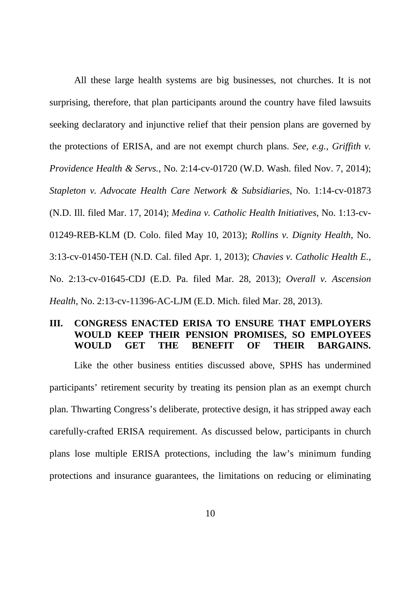All these large health systems are big businesses, not churches. It is not surprising, therefore, that plan participants around the country have filed lawsuits seeking declaratory and injunctive relief that their pension plans are governed by the protections of ERISA, and are not exempt church plans. *See, e.g., Griffith v. Providence Health & Servs.*, No. 2:14-cv-01720 (W.D. Wash. filed Nov. 7, 2014); *Stapleton v. Advocate Health Care Network & Subsidiaries*, No. 1:14-cv-01873 (N.D. Ill. filed Mar. 17, 2014); *Medina v. Catholic Health Initiatives*, No. 1:13-cv-01249-REB-KLM (D. Colo. filed May 10, 2013); *Rollins v. Dignity Health*, No. 3:13-cv-01450-TEH (N.D. Cal. filed Apr. 1, 2013); *Chavies v. Catholic Health E.*, No. 2:13-cv-01645-CDJ (E.D. Pa. filed Mar. 28, 2013); *Overall v. Ascension Health*, No. 2:13-cv-11396-AC-LJM (E.D. Mich. filed Mar. 28, 2013).

#### **III. CONGRESS ENACTED ERISA TO ENSURE THAT EMPLOYERS WOULD KEEP THEIR PENSION PROMISES, SO EMPLOYEES WOULD GET THE BENEFIT OF THEIR BARGAINS.**

Like the other business entities discussed above, SPHS has undermined participants' retirement security by treating its pension plan as an exempt church plan. Thwarting Congress's deliberate, protective design, it has stripped away each carefully-crafted ERISA requirement. As discussed below, participants in church plans lose multiple ERISA protections, including the law's minimum funding protections and insurance guarantees, the limitations on reducing or eliminating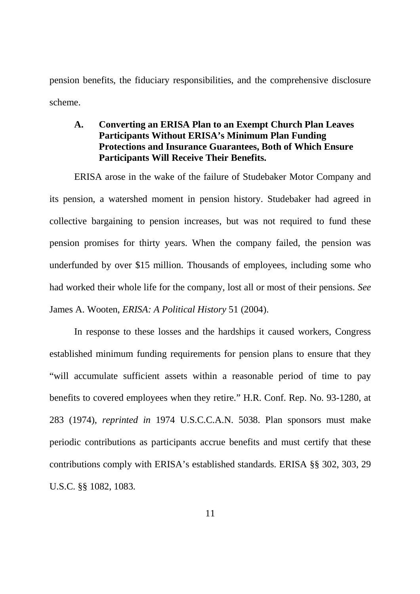pension benefits, the fiduciary responsibilities, and the comprehensive disclosure scheme.

### **A. Converting an ERISA Plan to an Exempt Church Plan Leaves Participants Without ERISA's Minimum Plan Funding Protections and Insurance Guarantees, Both of Which Ensure Participants Will Receive Their Benefits.**

ERISA arose in the wake of the failure of Studebaker Motor Company and its pension, a watershed moment in pension history. Studebaker had agreed in collective bargaining to pension increases, but was not required to fund these pension promises for thirty years. When the company failed, the pension was underfunded by over \$15 million. Thousands of employees, including some who had worked their whole life for the company, lost all or most of their pensions. *See* James A. Wooten, *ERISA: A Political History* 51 (2004).

In response to these losses and the hardships it caused workers, Congress established minimum funding requirements for pension plans to ensure that they "will accumulate sufficient assets within a reasonable period of time to pay benefits to covered employees when they retire." H.R. Conf. Rep. No. 93-1280, at 283 (1974), *reprinted in* 1974 U.S.C.C.A.N. 5038. Plan sponsors must make periodic contributions as participants accrue benefits and must certify that these contributions comply with ERISA's established standards. ERISA §§ 302, 303, 29 U.S.C. §§ 1082, 1083.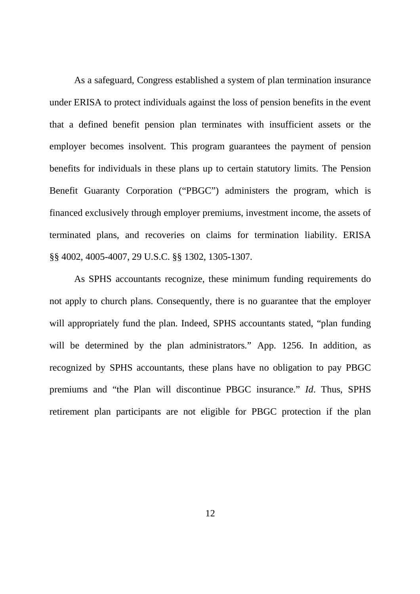As a safeguard, Congress established a system of plan termination insurance under ERISA to protect individuals against the loss of pension benefits in the event that a defined benefit pension plan terminates with insufficient assets or the employer becomes insolvent. This program guarantees the payment of pension benefits for individuals in these plans up to certain statutory limits. The Pension Benefit Guaranty Corporation ("PBGC") administers the program, which is financed exclusively through employer premiums, investment income, the assets of terminated plans, and recoveries on claims for termination liability. ERISA §§ 4002, 4005-4007, 29 U.S.C. §§ 1302, 1305-1307.

As SPHS accountants recognize, these minimum funding requirements do not apply to church plans. Consequently, there is no guarantee that the employer will appropriately fund the plan. Indeed, SPHS accountants stated, "plan funding will be determined by the plan administrators." App. 1256. In addition, as recognized by SPHS accountants, these plans have no obligation to pay PBGC premiums and "the Plan will discontinue PBGC insurance." *Id*. Thus, SPHS retirement plan participants are not eligible for PBGC protection if the plan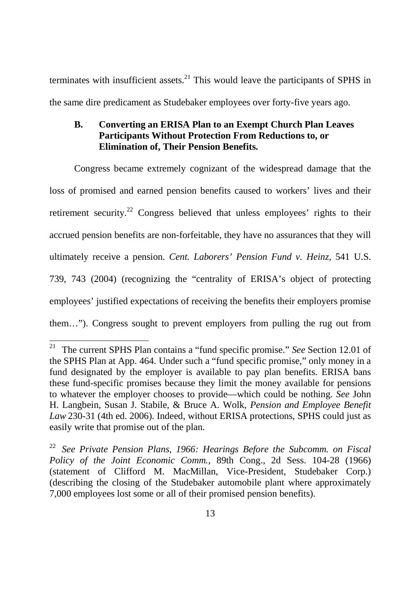terminates with insufficient assets. $^{21}$  This would leave the participants of SPHS in the same dire predicament as Studebaker employees over forty-five years ago.

## **B. Converting an ERISA Plan to an Exempt Church Plan Leaves Participants Without Protection From Reductions to, or Elimination of, Their Pension Benefits.**

Congress became extremely cognizant of the widespread damage that the loss of promised and earned pension benefits caused to workers' lives and their retirement security.<sup>22</sup> Congress believed that unless employees' rights to their accrued pension benefits are non-forfeitable, they have no assurances that they will ultimately receive a pension. *Cent. Laborers' Pension Fund v. Heinz*, 541 U.S. 739, 743 (2004) (recognizing the "centrality of ERISA's object of protecting employees' justified expectations of receiving the benefits their employers promise them…"). Congress sought to prevent employers from pulling the rug out from

<sup>21</sup> The current SPHS Plan contains a "fund specific promise." *See* Section 12.01 of the SPHS Plan at App. 464. Under such a "fund specific promise," only money in a fund designated by the employer is available to pay plan benefits. ERISA bans these fund-specific promises because they limit the money available for pensions to whatever the employer chooses to provide—which could be nothing. *See* John H. Langbein, Susan J. Stabile, & Bruce A. Wolk, *Pension and Employee Benefit Law* 230-31 (4th ed. 2006). Indeed, without ERISA protections, SPHS could just as easily write that promise out of the plan.

<sup>22</sup> *See Private Pension Plans, 1966: Hearings Before the Subcomm. on Fiscal Policy of the Joint Economic Comm.*, 89th Cong., 2d Sess. 104-28 (1966) (statement of Clifford M. MacMillan, Vice-President, Studebaker Corp.) (describing the closing of the Studebaker automobile plant where approximately 7,000 employees lost some or all of their promised pension benefits).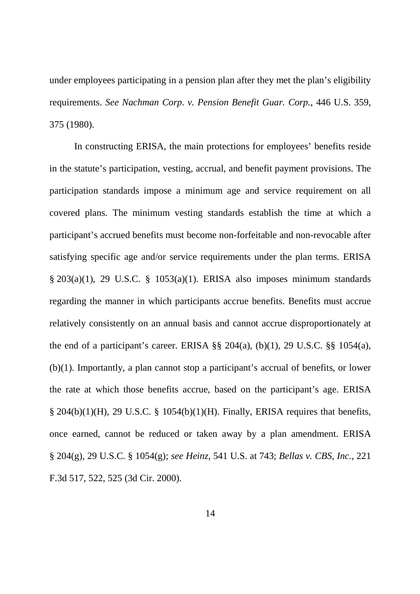under employees participating in a pension plan after they met the plan's eligibility requirements. *See Nachman Corp*. *v. Pension Benefit Guar. Corp.*, 446 U.S. 359, 375 (1980).

In constructing ERISA, the main protections for employees' benefits reside in the statute's participation, vesting, accrual, and benefit payment provisions. The participation standards impose a minimum age and service requirement on all covered plans. The minimum vesting standards establish the time at which a participant's accrued benefits must become non-forfeitable and non-revocable after satisfying specific age and/or service requirements under the plan terms. ERISA § 203(a)(1), 29 U.S.C. § 1053(a)(1). ERISA also imposes minimum standards regarding the manner in which participants accrue benefits. Benefits must accrue relatively consistently on an annual basis and cannot accrue disproportionately at the end of a participant's career. ERISA  $\S$ § 204(a), (b)(1), 29 U.S.C.  $\S$ § 1054(a), (b)(1). Importantly, a plan cannot stop a participant's accrual of benefits, or lower the rate at which those benefits accrue, based on the participant's age. ERISA  $\S$  204(b)(1)(H), 29 U.S.C.  $\S$  1054(b)(1)(H). Finally, ERISA requires that benefits, once earned, cannot be reduced or taken away by a plan amendment. ERISA § 204(g), 29 U.S.C. § 1054(g); *see Heinz*, 541 U.S. at 743; *Bellas v. CBS, Inc.*, 221 F.3d 517, 522, 525 (3d Cir. 2000).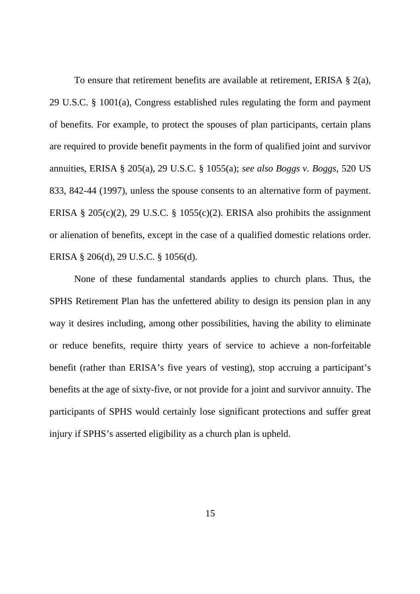To ensure that retirement benefits are available at retirement, ERISA § 2(a), 29 U.S.C. § 1001(a), Congress established rules regulating the form and payment of benefits. For example, to protect the spouses of plan participants, certain plans are required to provide benefit payments in the form of qualified joint and survivor annuities, ERISA § 205(a), 29 U.S.C. § 1055(a); *see also Boggs v. Boggs*, 520 US 833, 842-44 (1997), unless the spouse consents to an alternative form of payment. ERISA § 205(c)(2), 29 U.S.C. § 1055(c)(2). ERISA also prohibits the assignment or alienation of benefits, except in the case of a qualified domestic relations order. ERISA § 206(d), 29 U.S.C. § 1056(d).

None of these fundamental standards applies to church plans. Thus, the SPHS Retirement Plan has the unfettered ability to design its pension plan in any way it desires including, among other possibilities, having the ability to eliminate or reduce benefits, require thirty years of service to achieve a non-forfeitable benefit (rather than ERISA's five years of vesting), stop accruing a participant's benefits at the age of sixty-five, or not provide for a joint and survivor annuity. The participants of SPHS would certainly lose significant protections and suffer great injury if SPHS's asserted eligibility as a church plan is upheld.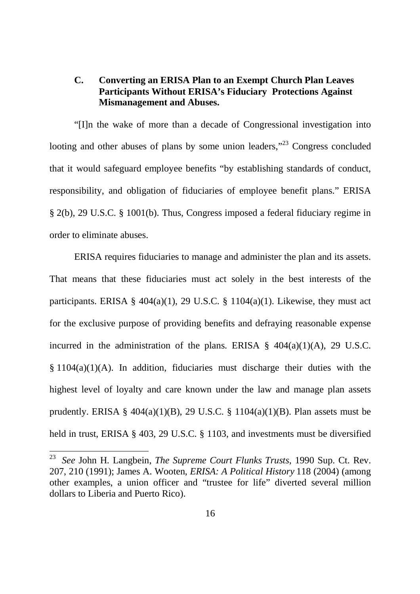## **C. Converting an ERISA Plan to an Exempt Church Plan Leaves Participants Without ERISA's Fiduciary Protections Against Mismanagement and Abuses.**

"[I]n the wake of more than a decade of Congressional investigation into looting and other abuses of plans by some union leaders,"<sup>23</sup> Congress concluded that it would safeguard employee benefits "by establishing standards of conduct, responsibility, and obligation of fiduciaries of employee benefit plans." ERISA § 2(b), 29 U.S.C. § 1001(b). Thus, Congress imposed a federal fiduciary regime in order to eliminate abuses.

ERISA requires fiduciaries to manage and administer the plan and its assets. That means that these fiduciaries must act solely in the best interests of the participants. ERISA §  $404(a)(1)$ , 29 U.S.C. § 1104(a)(1). Likewise, they must act for the exclusive purpose of providing benefits and defraying reasonable expense incurred in the administration of the plans. ERISA  $\S$  404(a)(1)(A), 29 U.S.C.  $§ 1104(a)(1)(A)$ . In addition, fiduciaries must discharge their duties with the highest level of loyalty and care known under the law and manage plan assets prudently. ERISA §  $404(a)(1)(B)$ , 29 U.S.C. § 1104(a)(1)(B). Plan assets must be held in trust, ERISA § 403, 29 U.S.C. § 1103, and investments must be diversified

<sup>23</sup> *See* John H. Langbein, *The Supreme Court Flunks Trusts*, 1990 Sup. Ct. Rev. 207, 210 (1991); James A. Wooten, *ERISA: A Political History* 118 (2004) (among other examples, a union officer and "trustee for life" diverted several million dollars to Liberia and Puerto Rico).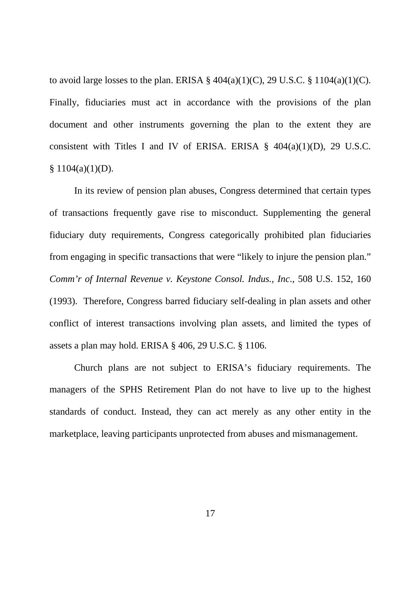to avoid large losses to the plan. ERISA  $\S$  404(a)(1)(C), 29 U.S.C.  $\S$  1104(a)(1)(C). Finally, fiduciaries must act in accordance with the provisions of the plan document and other instruments governing the plan to the extent they are consistent with Titles I and IV of ERISA. ERISA  $\S$  404(a)(1)(D), 29 U.S.C.  $$1104(a)(1)(D).$ 

In its review of pension plan abuses, Congress determined that certain types of transactions frequently gave rise to misconduct. Supplementing the general fiduciary duty requirements, Congress categorically prohibited plan fiduciaries from engaging in specific transactions that were "likely to injure the pension plan." *Comm'r of Internal Revenue v. Keystone Consol. Indus., Inc*., 508 U.S. 152, 160 (1993). Therefore, Congress barred fiduciary self-dealing in plan assets and other conflict of interest transactions involving plan assets, and limited the types of assets a plan may hold. ERISA § 406, 29 U.S.C. § 1106.

Church plans are not subject to ERISA's fiduciary requirements. The managers of the SPHS Retirement Plan do not have to live up to the highest standards of conduct. Instead, they can act merely as any other entity in the marketplace, leaving participants unprotected from abuses and mismanagement.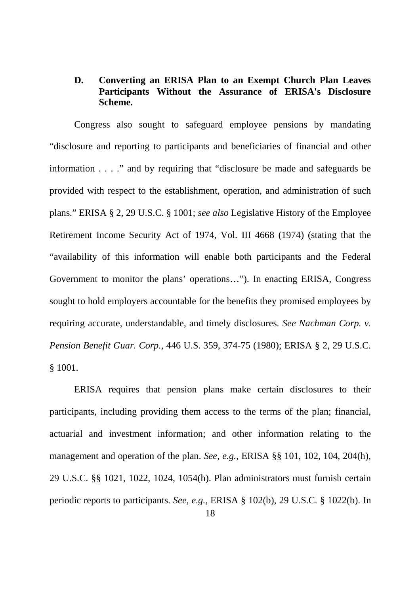## **D. Converting an ERISA Plan to an Exempt Church Plan Leaves Participants Without the Assurance of ERISA's Disclosure Scheme.**

Congress also sought to safeguard employee pensions by mandating "disclosure and reporting to participants and beneficiaries of financial and other information . . . ." and by requiring that "disclosure be made and safeguards be provided with respect to the establishment, operation, and administration of such plans." ERISA § 2, 29 U.S.C. § 1001; *see also* Legislative History of the Employee Retirement Income Security Act of 1974, Vol. III 4668 (1974) (stating that the "availability of this information will enable both participants and the Federal Government to monitor the plans' operations…"). In enacting ERISA, Congress sought to hold employers accountable for the benefits they promised employees by requiring accurate, understandable, and timely disclosures. *See Nachman Corp. v. Pension Benefit Guar. Corp.*, 446 U.S. 359, 374-75 (1980); ERISA § 2, 29 U.S.C. § 1001.

ERISA requires that pension plans make certain disclosures to their participants, including providing them access to the terms of the plan; financial, actuarial and investment information; and other information relating to the management and operation of the plan. *See, e.g.*, ERISA §§ 101, 102, 104, 204(h), 29 U.S.C. §§ 1021, 1022, 1024, 1054(h). Plan administrators must furnish certain periodic reports to participants. *See, e.g.*, ERISA § 102(b), 29 U.S.C. § 1022(b). In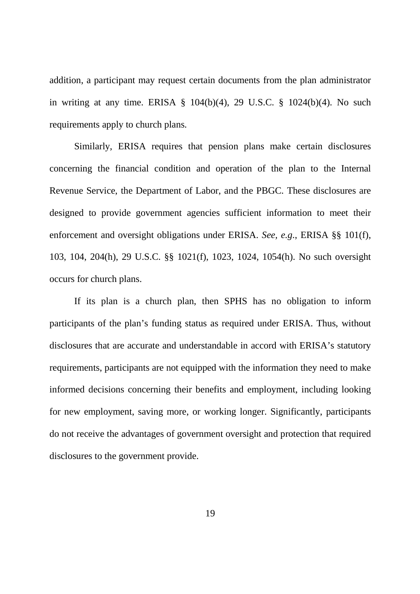addition, a participant may request certain documents from the plan administrator in writing at any time. ERISA  $\S$  104(b)(4), 29 U.S.C.  $\S$  1024(b)(4). No such requirements apply to church plans.

Similarly, ERISA requires that pension plans make certain disclosures concerning the financial condition and operation of the plan to the Internal Revenue Service, the Department of Labor, and the PBGC. These disclosures are designed to provide government agencies sufficient information to meet their enforcement and oversight obligations under ERISA. *See, e.g*., ERISA §§ 101(f), 103, 104, 204(h), 29 U.S.C. §§ 1021(f), 1023, 1024, 1054(h). No such oversight occurs for church plans.

If its plan is a church plan, then SPHS has no obligation to inform participants of the plan's funding status as required under ERISA. Thus, without disclosures that are accurate and understandable in accord with ERISA's statutory requirements, participants are not equipped with the information they need to make informed decisions concerning their benefits and employment, including looking for new employment, saving more, or working longer. Significantly, participants do not receive the advantages of government oversight and protection that required disclosures to the government provide.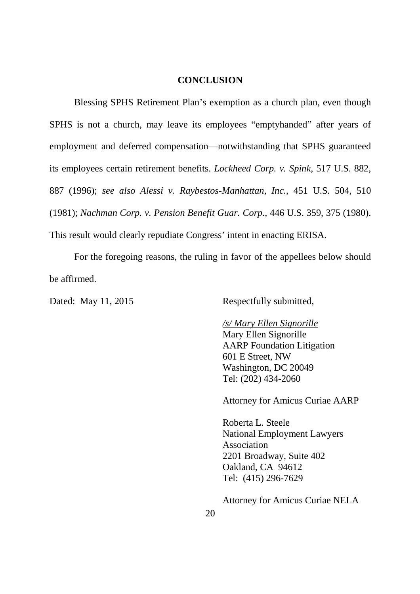#### **CONCLUSION**

Blessing SPHS Retirement Plan's exemption as a church plan, even though SPHS is not a church, may leave its employees "emptyhanded" after years of employment and deferred compensation—notwithstanding that SPHS guaranteed its employees certain retirement benefits. *Lockheed Corp. v. Spink*, 517 U.S. 882, 887 (1996); *see also Alessi v. Raybestos-Manhattan, Inc.*, 451 U.S. 504, 510 (1981); *Nachman Corp. v. Pension Benefit Guar. Corp.*, 446 U.S. 359, 375 (1980). This result would clearly repudiate Congress' intent in enacting ERISA.

For the foregoing reasons, the ruling in favor of the appellees below should be affirmed.

Dated: May 11, 2015 Respectfully submitted,

#### */s/ Mary Ellen Signorille*

Mary Ellen Signorille AARP Foundation Litigation 601 E Street, NW Washington, DC 20049 Tel: (202) 434-2060

Attorney for Amicus Curiae AARP

Roberta L. Steele National Employment Lawyers Association 2201 Broadway, Suite 402 Oakland, CA 94612 Tel: (415) 296-7629

Attorney for Amicus Curiae NELA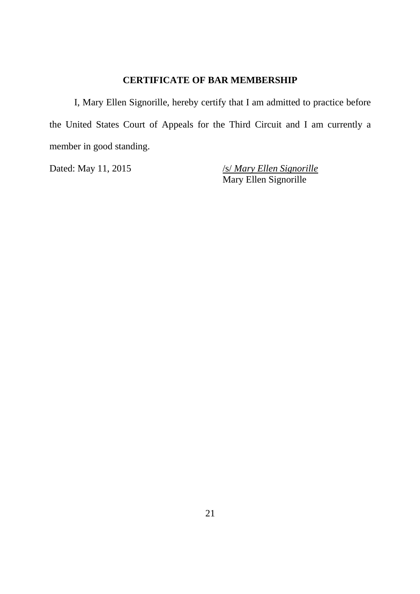## **CERTIFICATE OF BAR MEMBERSHIP**

I, Mary Ellen Signorille, hereby certify that I am admitted to practice before the United States Court of Appeals for the Third Circuit and I am currently a member in good standing.

Dated: May 11, 2015 */s/ Mary Ellen Signorille* Mary Ellen Signorille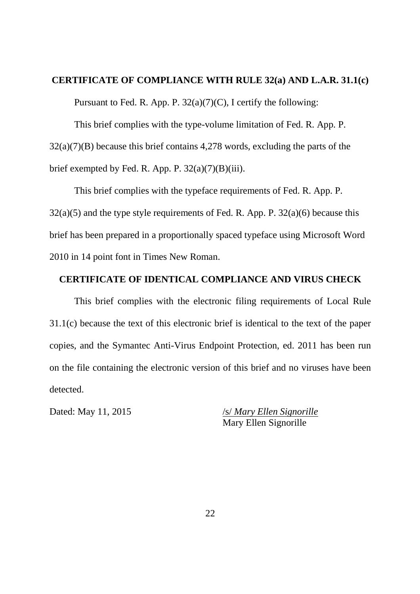#### **CERTIFICATE OF COMPLIANCE WITH RULE 32(a) AND L.A.R. 31.1(c)**

Pursuant to Fed. R. App. P.  $32(a)(7)(C)$ , I certify the following:

This brief complies with the type-volume limitation of Fed. R. App. P. 32(a)(7)(B) because this brief contains 4,278 words, excluding the parts of the brief exempted by Fed. R. App. P.  $32(a)(7)(B)(iii)$ .

This brief complies with the typeface requirements of Fed. R. App. P.  $32(a)(5)$  and the type style requirements of Fed. R. App. P.  $32(a)(6)$  because this brief has been prepared in a proportionally spaced typeface using Microsoft Word 2010 in 14 point font in Times New Roman.

#### **CERTIFICATE OF IDENTICAL COMPLIANCE AND VIRUS CHECK**

This brief complies with the electronic filing requirements of Local Rule 31.1(c) because the text of this electronic brief is identical to the text of the paper copies, and the Symantec Anti-Virus Endpoint Protection, ed. 2011 has been run on the file containing the electronic version of this brief and no viruses have been detected.

Dated: May 11, 2015 /s/ *Mary Ellen Signorille* Mary Ellen Signorille